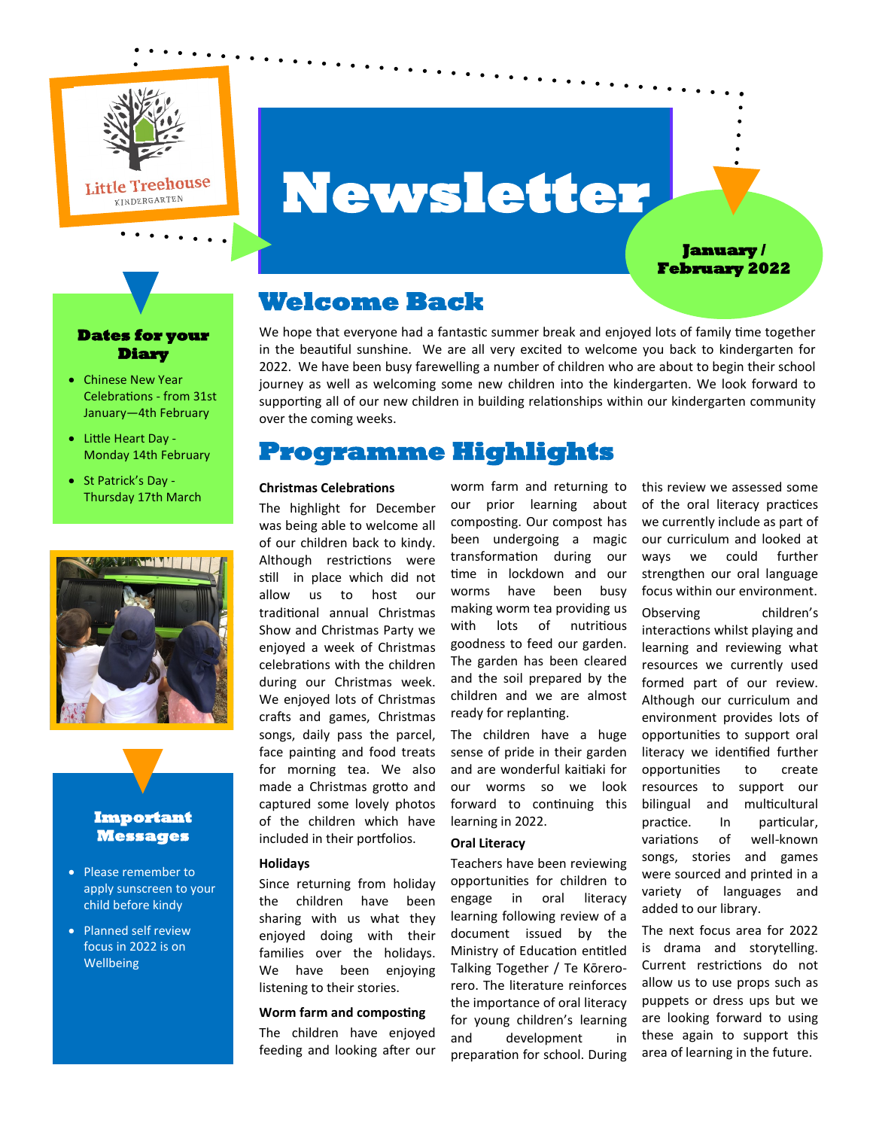

# **Newsletter**

### **January / February 2022**

# **Welcome Back**

We hope that everyone had a fantastic summer break and enjoyed lots of family time together in the beautiful sunshine. We are all very excited to welcome you back to kindergarten for 2022. We have been busy farewelling a number of children who are about to begin their school journey as well as welcoming some new children into the kindergarten. We look forward to supporting all of our new children in building relationships within our kindergarten community over the coming weeks.

# **Programme Highlights**

#### **Christmas Celebrations**

The highlight for December was being able to welcome all of our children back to kindy. Although restrictions were still in place which did not allow us to host our traditional annual Christmas Show and Christmas Party we enjoyed a week of Christmas celebrations with the children during our Christmas week. We enjoyed lots of Christmas crafts and games, Christmas songs, daily pass the parcel, face painting and food treats for morning tea. We also made a Christmas grotto and captured some lovely photos of the children which have included in their portfolios.

#### **Holidays**

Since returning from holiday the children have been sharing with us what they enjoyed doing with their families over the holidays. We have been enjoying listening to their stories.

#### **Worm farm and composting**

The children have enjoyed feeding and looking after our worm farm and returning to our prior learning about composting. Our compost has been undergoing a magic transformation during our time in lockdown and our worms have been busy making worm tea providing us with lots of nutritious goodness to feed our garden. The garden has been cleared and the soil prepared by the children and we are almost ready for replanting.

The children have a huge sense of pride in their garden and are wonderful kaitiaki for our worms so we look forward to continuing this learning in 2022.

## **Oral Literacy**

Teachers have been reviewing opportunities for children to engage in oral literacy learning following review of a document issued by the Ministry of Education entitled Talking Together / Te Kōrerorero. The literature reinforces the importance of oral literacy for young children's learning and development in preparation for school. During

this review we assessed some of the oral literacy practices we currently include as part of our curriculum and looked at ways we could further strengthen our oral language focus within our environment.

Observing children's interactions whilst playing and learning and reviewing what resources we currently used formed part of our review. Although our curriculum and environment provides lots of opportunities to support oral literacy we identified further opportunities to create resources to support our bilingual and multicultural practice. In particular, variations of well-known songs, stories and games were sourced and printed in a variety of languages and added to our library.

The next focus area for 2022 is drama and storytelling. Current restrictions do not allow us to use props such as puppets or dress ups but we are looking forward to using these again to support this area of learning in the future.

## **Dates for your Diary**

- Chinese New Year Celebrations - from 31st January—4th February
- Little Heart Day Monday 14th February
- St Patrick's Day Thursday 17th March



# **Important Messages**

- Please remember to apply sunscreen to your child before kindy
- Planned self review focus in 2022 is on **Wellbeing**